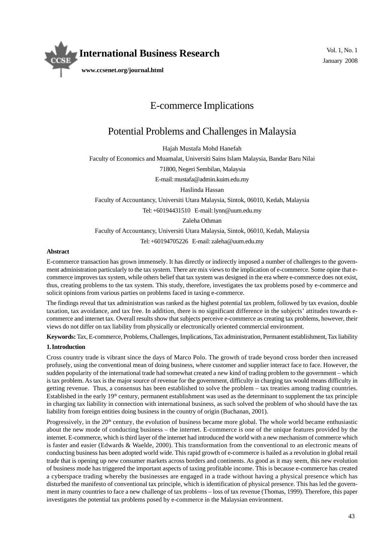

# E-commerce Implications

# Potential Problems and Challenges in Malaysia

Hajah Mustafa Mohd Hanefah

Faculty of Economics and Muamalat, Universiti Sains Islam Malaysia, Bandar Baru Nilai

71800, Negeri Sembilan, Malaysia

E-mail: mustafa@admin.kuim.edu.my

Haslinda Hassan

Faculty of Accountancy, Universiti Utara Malaysia, Sintok, 06010, Kedah, Malaysia

Tel: +60194431510 E-mail: lynn@uum.edu.my

Zaleha Othman

Faculty of Accountancy, Universiti Utara Malaysia, Sintok, 06010, Kedah, Malaysia

Tel: +60194705226 E-mail: zaleha@uum.edu.my

### **Abstract**

E-commerce transaction has grown immensely. It has directly or indirectly imposed a number of challenges to the government administration particularly to the tax system. There are mix views to the implication of e-commerce. Some opine that ecommerce improves tax system, while others belief that tax system was designed in the era where e-commerce does not exist, thus, creating problems to the tax system. This study, therefore, investigates the tax problems posed by e-commerce and solicit opinions from various parties on problems faced in taxing e-commerce.

The findings reveal that tax administration was ranked as the highest potential tax problem, followed by tax evasion, double taxation, tax avoidance, and tax free. In addition, there is no significant difference in the subjects' attitudes towards ecommerce and internet tax. Overall results show that subjects perceive e-commerce as creating tax problems, however, their views do not differ on tax liability from physically or electronically oriented commercial environment.

**Keywords:** Tax, E-commerce, Problems, Challenges, Implications, Tax administration, Permanent establishment, Tax liability

### **1. Introduction**

Cross country trade is vibrant since the days of Marco Polo. The growth of trade beyond cross border then increased profusely, using the conventional mean of doing business, where customer and supplier interact face to face. However, the sudden popularity of the international trade had somewhat created a new kind of trading problem to the government – which is tax problem. As tax is the major source of revenue for the government, difficulty in charging tax would means difficulty in getting revenue. Thus, a consensus has been established to solve the problem – tax treaties among trading countries. Established in the early  $19<sup>th</sup>$  century, permanent establishment was used as the determinant to supplement the tax principle in charging tax liability in connection with international business, as such solved the problem of who should have the tax liability from foreign entities doing business in the country of origin (Buchanan, 2001).

Progressively, in the  $20<sup>th</sup>$  century, the evolution of business became more global. The whole world became enthusiastic about the new mode of conducting business – the internet. E-commerce is one of the unique features provided by the internet. E-commerce, which is third layer of the internet had introduced the world with a new mechanism of commerce which is faster and easier (Edwards & Waelde, 2000). This transformation from the conventional to an electronic means of conducting business has been adopted world wide. This rapid growth of e-commerce is hailed as a revolution in global retail trade that is opening up new consumer markets across borders and continents. As good as it may seem, this new evolution of business mode has triggered the important aspects of taxing profitable income. This is because e-commerce has created a cyberspace trading whereby the businesses are engaged in a trade without having a physical presence which has disturbed the manifesto of conventional tax principle, which is identification of physical presence. This has led the government in many countries to face a new challenge of tax problems – loss of tax revenue (Thomas, 1999). Therefore, this paper investigates the potential tax problems posed by e-commerce in the Malaysian environment.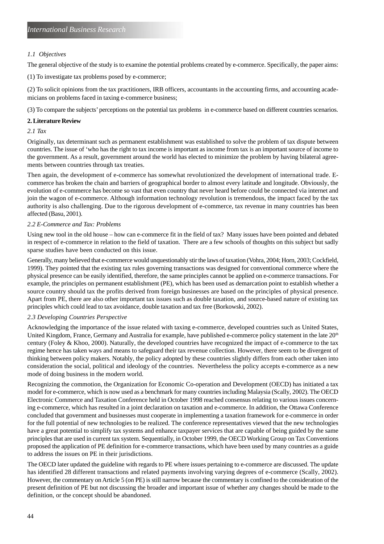### *1.1 Objectives*

The general objective of the study is to examine the potential problems created by e-commerce. Specifically, the paper aims:

(1) To investigate tax problems posed by e-commerce;

(2) To solicit opinions from the tax practitioners, IRB officers, accountants in the accounting firms, and accounting academicians on problems faced in taxing e-commerce business;

(3) To compare the subjects' perceptions on the potential tax problems in e-commerce based on different countries scenarios.

### **2. Literature Review**

### *2.1 Tax*

Originally, tax determinant such as permanent establishment was established to solve the problem of tax dispute between countries. The issue of 'who has the right to tax income is important as income from tax is an important source of income to the government. As a result, government around the world has elected to minimize the problem by having bilateral agreements between countries through tax treaties.

Then again, the development of e-commerce has somewhat revolutionized the development of international trade. Ecommerce has broken the chain and barriers of geographical border to almost every latitude and longitude. Obviously, the evolution of e-commerce has become so vast that even country that never heard before could be connected via internet and join the wagon of e-commerce. Although information technology revolution is tremendous, the impact faced by the tax authority is also challenging. Due to the rigorous development of e-commerce, tax revenue in many countries has been affected (Basu, 2001).

### *2.2 E-Commerce and Tax: Problems*

Using new tool in the old house – how can e-commerce fit in the field of tax? Many issues have been pointed and debated in respect of e-commerce in relation to the field of taxation. There are a few schools of thoughts on this subject but sadly sparse studies have been conducted on this issue.

Generally, many believed that e-commerce would unquestionably stir the laws of taxation (Vohra, 2004; Horn, 2003; Cockfield, 1999). They pointed that the existing tax rules governing transactions was designed for conventional commerce where the physical presence can be easily identified, therefore, the same principles cannot be applied on e-commerce transactions. For example, the principles on permanent establishment (PE), which has been used as demarcation point to establish whether a source country should tax the profits derived from foreign businesses are based on the principles of physical presence. Apart from PE, there are also other important tax issues such as double taxation, and source-based nature of existing tax principles which could lead to tax avoidance, double taxation and tax free (Borkowski, 2002).

### *2.3 Developing Countries Perspective*

Acknowledging the importance of the issue related with taxing e-commerce, developed countries such as United States, United Kingdom, France, Germany and Australia for example, have published e-commerce policy statement in the late  $20<sup>th</sup>$ century (Foley & Khoo, 2000). Naturally, the developed countries have recognized the impact of e-commerce to the tax regime hence has taken ways and means to safeguard their tax revenue collection. However, there seem to be divergent of thinking between policy makers. Notably, the policy adopted by these countries slightly differs from each other taken into consideration the social, political and ideology of the countries. Nevertheless the policy accepts e-commerce as a new mode of doing business in the modern world.

Recognizing the commotion, the Organization for Economic Co-operation and Development (OECD) has initiated a tax model for e-commerce, which is now used as a benchmark for many countries including Malaysia (Scally, 2002). The OECD Electronic Commerce and Taxation Conference held in October 1998 reached consensus relating to various issues concerning e-commerce, which has resulted in a joint declaration on taxation and e-commerce. In addition, the Ottawa Conference concluded that government and businesses must cooperate in implementing a taxation framework for e-commerce in order for the full potential of new technologies to be realized. The conference representatives viewed that the new technologies have a great potential to simplify tax systems and enhance taxpayer services that are capable of being guided by the same principles that are used in current tax system. Sequentially, in October 1999, the OECD Working Group on Tax Conventions proposed the application of PE definition for e-commerce transactions, which have been used by many countries as a guide to address the issues on PE in their jurisdictions.

The OECD later updated the guideline with regards to PE where issues pertaining to e-commerce are discussed. The update has identified 28 different transactions and related payments involving varying degrees of e-commerce (Scally, 2002). However, the commentary on Article 5 (on PE) is still narrow because the commentary is confined to the consideration of the present definition of PE but not discussing the broader and important issue of whether any changes should be made to the definition, or the concept should be abandoned.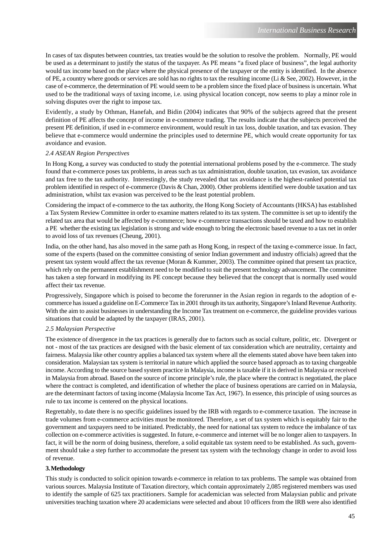In cases of tax disputes between countries, tax treaties would be the solution to resolve the problem. Normally, PE would be used as a determinant to justify the status of the taxpayer. As PE means "a fixed place of business", the legal authority would tax income based on the place where the physical presence of the taxpayer or the entity is identified. In the absence of PE, a country where goods or services are sold has no rights to tax the resulting income (Li & See, 2002). However, in the case of e-commerce, the determination of PE would seem to be a problem since the fixed place of business is uncertain. What used to be the traditional ways of taxing income, i.e. using physical location concept, now seems to play a minor role in solving disputes over the right to impose tax.

Evidently, a study by Othman, Hanefah, and Bidin (2004) indicates that 90% of the subjects agreed that the present definition of PE affects the concept of income in e-commerce trading. The results indicate that the subjects perceived the present PE definition, if used in e-commerce environment, would result in tax loss, double taxation, and tax evasion. They believe that e-commerce would undermine the principles used to determine PE, which would create opportunity for tax avoidance and evasion.

### *2.4 ASEAN Region Perspectives*

In Hong Kong, a survey was conducted to study the potential international problems posed by the e-commerce. The study found that e-commerce poses tax problems, in areas such as tax administration, double taxation, tax evasion, tax avoidance and tax free to the tax authority. Interestingly, the study revealed that tax avoidance is the highest-ranked potential tax problem identified in respect of e-commerce (Davis & Chan, 2000). Other problems identified were double taxation and tax administration, whilst tax evasion was perceived to be the least potential problem.

Considering the impact of e-commerce to the tax authority, the Hong Kong Society of Accountants (HKSA) has established a Tax System Review Committee in order to examine matters related to its tax system. The committee is set up to identify the related tax area that would be affected by e-commerce; how e-commerce transactions should be taxed and how to establish a PE whether the existing tax legislation is strong and wide enough to bring the electronic based revenue to a tax net in order to avoid loss of tax revenues (Cheung, 2001).

India, on the other hand, has also moved in the same path as Hong Kong, in respect of the taxing e-commerce issue. In fact, some of the experts (based on the committee consisting of senior Indian government and industry officials) agreed that the present tax system would affect the tax revenue (Moran & Kummer, 2003). The committee opined that present tax practice, which rely on the permanent establishment need to be modified to suit the present technology advancement. The committee has taken a step forward in modifying its PE concept because they believed that the concept that is normally used would affect their tax revenue.

Progressively, Singapore which is poised to become the forerunner in the Asian region in regards to the adoption of ecommerce has issued a guideline on E-Commerce Tax in 2001 through its tax authority, Singapore's Inland Revenue Authority. With the aim to assist businesses in understanding the Income Tax treatment on e-commerce, the guideline provides various situations that could be adapted by the taxpayer (IRAS, 2001).

### *2.5 Malaysian Perspective*

The existence of divergence in the tax practices is generally due to factors such as social culture, politic, etc. Divergent or not - most of the tax practices are designed with the basic element of tax consideration which are neutrality, certainty and fairness. Malaysia like other country applies a balanced tax system where all the elements stated above have been taken into consideration. Malaysian tax system is territorial in nature which applied the source based approach as to taxing chargeable income. According to the source based system practice in Malaysia, income is taxable if it is derived in Malaysia or received in Malaysia from abroad. Based on the source of income principle's rule, the place where the contract is negotiated, the place where the contract is completed, and identification of whether the place of business operations are carried on in Malaysia, are the determinant factors of taxing income (Malaysia Income Tax Act, 1967). In essence, this principle of using sources as rule to tax income is centered on the physical locations.

Regrettably, to date there is no specific guidelines issued by the IRB with regards to e-commerce taxation. The increase in trade volumes from e-commerce activities must be monitored. Therefore, a set of tax system which is equitably fair to the government and taxpayers need to be initiated. Predictably, the need for national tax system to reduce the imbalance of tax collection on e-commerce activities is suggested. In future, e-commerce and internet will be no longer alien to taxpayers. In fact, it will be the norm of doing business, therefore, a solid equitable tax system need to be established. As such, government should take a step further to accommodate the present tax system with the technology change in order to avoid loss of revenue.

### **3. Methodology**

This study is conducted to solicit opinion towards e-commerce in relation to tax problems. The sample was obtained from various sources. Malaysia Institute of Taxation directory, which contain approximately 2,085 registered members was used to identify the sample of 625 tax practitioners. Sample for academician was selected from Malaysian public and private universities teaching taxation where 20 academicians were selected and about 10 officers from the IRB were also identified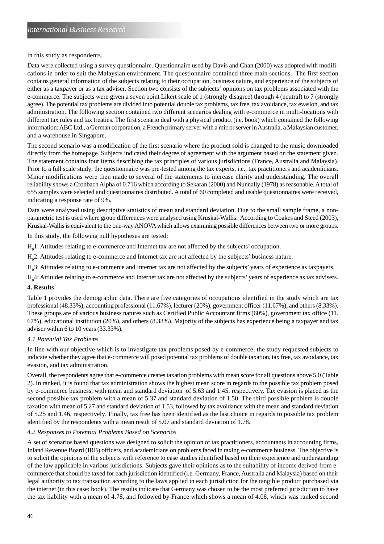in this study as respondents.

Data were collected using a survey questionnaire. Questionnaire used by Davis and Chan (2000) was adopted with modifications in order to suit the Malaysian environment. The questionnaire contained three main sections. The first section contains general information of the subjects relating to their occupation, business nature, and experience of the subjects of either as a taxpayer or as a tax adviser. Section two consists of the subjects' opinions on tax problems associated with the e-commerce. The subjects were given a seven point Likert scale of 1 (strongly disagree) through 4 (neutral) to 7 (strongly agree). The potential tax problems are divided into potential double tax problems, tax free, tax avoidance, tax evasion, and tax administration. The following section contained two different scenarios dealing with e-commerce in multi-locations with different tax rules and tax treaties. The first scenario deal with a physical product (i.e. book) which contained the following information: ABC Ltd., a German corporation, a French primary server with a mirror server in Australia, a Malaysian customer, and a warehouse in Singapore.

The second scenario was a modification of the first scenario where the product sold is changed to the music downloaded directly from the homepage. Subjects indicated their degree of agreement with the argument based on the statement given. The statement contains four items describing the tax principles of various jurisdictions (France, Australia and Malaysia). Prior to a full scale study, the questionnaire was pre-tested among the tax experts, i.e., tax practitioners and academicians. Minor modifications were then made to several of the statements to increase clarity and understanding. The overall reliability shows a Cronbach Alpha of 0.716 which according to Sekaran (2000) and Nunnally (1978) as reasonable. A total of 655 samples were selected and questionnaires distributed. A total of 60 completed and usable questionnaires were received, indicating a response rate of 9%.

Data were analyzed using descriptive statistics of mean and standard deviation. Due to the small sample frame, a nonparametric test is used where group differences were analysed using Kruskal-Wallis. According to Coakes and Steed (2003), Kruskal-Wallis is equivalent to the one-way ANOVA which allows examining possible differences between two or more groups.

In this study, the following null hypotheses are tested:

- $H<sub>0</sub>$ 1: Attitudes relating to e-commerce and Internet tax are not affected by the subjects' occupation.
- $H<sub>0</sub>$ 2: Attitudes relating to e-commerce and Internet tax are not affected by the subjects' business nature.

 $H<sub>0</sub>3$ : Attitudes relating to e-commerce and Internet tax are not affected by the subjects' years of experience as taxpayers.

 $H_0$ 4: Attitudes relating to e-commerce and Internet tax are not affected by the subjects' years of experience as tax advisers.

### **4. Results**

Table 1 provides the demographic data. There are five categories of occupations identified in the study which are tax professional (48.33%), accounting professional (11.67%), lecturer (20%), government officer (11.67%), and others (8.33%). These groups are of various business natures such as Certified Public Accountant firms (60%), government tax office (11. 67%), educational institution (20%), and others (8.33%). Majority of the subjects has experience being a taxpayer and tax adviser within 6 to 10 years (33.33%).

### *4.1 Potential Tax Problems*

In line with our objective which is to investigate tax problems posed by e-commerce, the study requested subjects to indicate whether they agree that e-commerce will posed potential tax problems of double taxation, tax free, tax avoidance, tax evasion, and tax administration.

Overall, the respondents agree that e-commerce creates taxation problems with mean score for all questions above 5.0 (Table 2). In ranked, it is found that tax administration shows the highest mean score in regards to the possible tax problem posed by e-commerce business, with mean and standard deviation of 5.63 and 1.45, respectively. Tax evasion is placed as the second possible tax problem with a mean of 5.37 and standard deviation of 1.50. The third possible problem is double taxation with mean of 5.27 and standard deviation of 1.53, followed by tax avoidance with the mean and standard deviation of 5.25 and 1.46, respectively. Finally, tax free has been identified as the last choice in regards to possible tax problem identified by the respondents with a mean result of 5.07 and standard deviation of 1.78.

### *4.2 Responses to Potential Problems Based on Scenarios*

A set of scenarios based questions was designed to solicit the opinion of tax practitioners, accountants in accounting firms, Inland Revenue Board (IRB) officers, and academicians on problems faced in taxing e-commerce business. The objective is to solicit the opinions of the subjects with reference to case studies identified based on their experience and understanding of the law applicable in various jurisdictions. Subjects gave their opinions as to the suitability of income derived from ecommerce that should be taxed for each jurisdiction identified (i.e. Germany, France, Australia and Malaysia) based on their legal authority to tax transaction according to the laws applied in each jurisdiction for the tangible product purchased via the internet (in this case: book). The results indicate that Germany was chosen to be the most preferred jurisdiction to have the tax liability with a mean of 4.78, and followed by France which shows a mean of 4.08, which was ranked second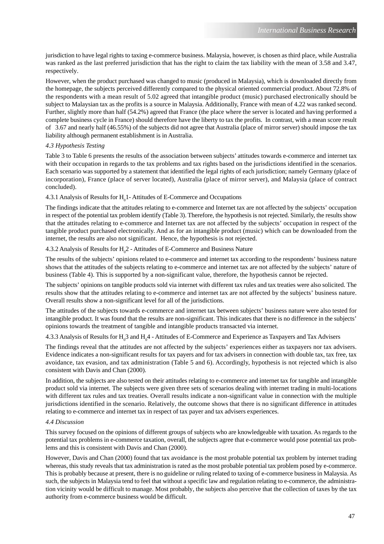jurisdiction to have legal rights to taxing e-commerce business. Malaysia, however, is chosen as third place, while Australia was ranked as the last preferred jurisdiction that has the right to claim the tax liability with the mean of 3.58 and 3.47, respectively.

However, when the product purchased was changed to music (produced in Malaysia), which is downloaded directly from the homepage, the subjects perceived differently compared to the physical oriented commercial product. About 72.8% of the respondents with a mean result of 5.02 agreed that intangible product (music) purchased electronically should be subject to Malaysian tax as the profits is a source in Malaysia. Additionally, France with mean of 4.22 was ranked second. Further, slightly more than half (54.2%) agreed that France (the place where the server is located and having performed a complete business cycle in France) should therefore have the liberty to tax the profits. In contrast, with a mean score result of 3.67 and nearly half (46.55%) of the subjects did not agree that Australia (place of mirror server) should impose the tax liability although permanent establishment is in Australia.

### *4.3 Hypothesis Testing*

Table 3 to Table 6 presents the results of the association between subjects' attitudes towards e-commerce and internet tax with their occupation in regards to the tax problems and tax rights based on the jurisdictions identified in the scenarios. Each scenario was supported by a statement that identified the legal rights of each jurisdiction; namely Germany (place of incorporation), France (place of server located), Australia (place of mirror server), and Malaysia (place of contract concluded).

### 4.3.1 Analysis of Results for  $H_0$ 1- Attitudes of E-Commerce and Occupations

The findings indicate that the attitudes relating to e-commerce and Internet tax are not affected by the subjects' occupation in respect of the potential tax problem identify (Table 3). Therefore, the hypothesis is not rejected. Similarly, the results show that the attitudes relating to e-commerce and Internet tax are not affected by the subjects' occupation in respect of the tangible product purchased electronically. And as for an intangible product (music) which can be downloaded from the internet, the results are also not significant. Hence, the hypothesis is not rejected.

## 4.3.2 Analysis of Results for  $H_0^2$  - Attitudes of E-Commerce and Business Nature

The results of the subjects' opinions related to e-commerce and internet tax according to the respondents' business nature shows that the attitudes of the subjects relating to e-commerce and internet tax are not affected by the subjects' nature of business (Table 4). This is supported by a non-significant value, therefore, the hypothesis cannot be rejected.

The subjects' opinions on tangible products sold via internet with different tax rules and tax treaties were also solicited. The results show that the attitudes relating to e-commerce and internet tax are not affected by the subjects' business nature. Overall results show a non-significant level for all of the jurisdictions.

The attitudes of the subjects towards e-commerce and internet tax between subjects' business nature were also tested for intangible product. It was found that the results are non-significant. This indicates that there is no difference in the subjects' opinions towards the treatment of tangible and intangible products transacted via internet.

## 4.3.3 Analysis of Results for  $H_0^3$  and  $H_0^4$  - Attitudes of E-Commerce and Experience as Taxpayers and Tax Advisers

The findings reveal that the attitudes are not affected by the subjects' experiences either as taxpayers nor tax advisers. Evidence indicates a non-significant results for tax payers and for tax advisers in connection with double tax, tax free, tax avoidance, tax evasion, and tax administration (Table 5 and 6). Accordingly, hypothesis is not rejected which is also consistent with Davis and Chan (2000).

In addition, the subjects are also tested on their attitudes relating to e-commerce and internet tax for tangible and intangible product sold via internet. The subjects were given three sets of scenarios dealing with internet trading in multi-locations with different tax rules and tax treaties. Overall results indicate a non-significant value in connection with the multiple jurisdictions identified in the scenario. Relatively, the outcome shows that there is no significant difference in attitudes relating to e-commerce and internet tax in respect of tax payer and tax advisers experiences.

### *4.4 Discussion*

This survey focused on the opinions of different groups of subjects who are knowledgeable with taxation. As regards to the potential tax problems in e-commerce taxation, overall, the subjects agree that e-commerce would pose potential tax problems and this is consistent with Davis and Chan (2000).

However, Davis and Chan (2000) found that tax avoidance is the most probable potential tax problem by internet trading whereas, this study reveals that tax administration is rated as the most probable potential tax problem posed by e-commerce. This is probably because at present, there is no guideline or ruling related to taxing of e-commerce business in Malaysia. As such, the subjects in Malaysia tend to feel that without a specific law and regulation relating to e-commerce, the administration vicinity would be difficult to manage. Most probably, the subjects also perceive that the collection of taxes by the tax authority from e-commerce business would be difficult.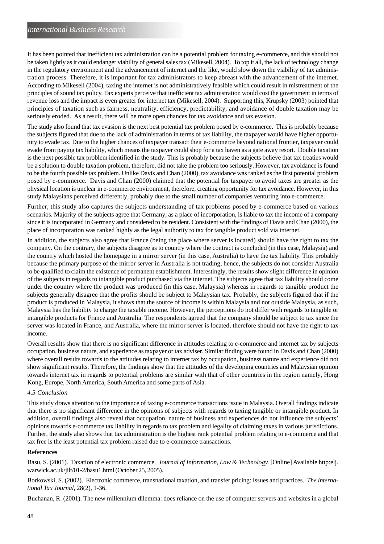### *International Business Research*

It has been pointed that inefficient tax administration can be a potential problem for taxing e-commerce, and this should not be taken lightly as it could endanger viability of general sales tax (Mikesell, 2004). To top it all, the lack of technology change in the regulatory environment and the advancement of internet and the like, would slow down the viability of tax administration process. Therefore, it is important for tax administrators to keep abreast with the advancement of the internet. According to Mikesell (2004), taxing the internet is not administratively feasible which could result in mistreatment of the principles of sound tax policy. Tax experts perceive that inefficient tax administration would cost the government in terms of revenue loss and the impact is even greater for internet tax (Mikesell, 2004). Supporting this, Krupsky (2003) pointed that principles of taxation such as fairness, neutrality, efficiency, predictability, and avoidance of double taxation may be seriously eroded. As a result, there will be more open chances for tax avoidance and tax evasion.

The study also found that tax evasion is the next best potential tax problem posed by e-commerce. This is probably because the subjects figured that due to the lack of administration in terms of tax liability, the taxpayer would have higher opportunity to evade tax. Due to the higher chances of taxpayer transact their e-commerce beyond national frontier, taxpayer could evade from paying tax liability, which means the taxpayer could shop for a tax haven as a gate away resort. Double taxation is the next possible tax problem identified in the study. This is probably because the subjects believe that tax treaties would be a solution to double taxation problem, therefore, did not take the problem too seriously. However, tax avoidance is found to be the fourth possible tax problem. Unlike Davis and Chan (2000), tax avoidance was ranked as the first potential problem posed by e-commerce. Davis and Chan (2000) claimed that the potential for taxpayer to avoid taxes are greater as the physical location is unclear in e-commerce environment, therefore, creating opportunity for tax avoidance. However, in this study Malaysians perceived differently, probably due to the small number of companies venturing into e-commerce.

Further, this study also captures the subjects understanding of tax problems posed by e-commerce based on various scenarios. Majority of the subjects agree that Germany, as a place of incorporation, is liable to tax the income of a company since it is incorporated in Germany and considered to be resident. Consistent with the findings of Davis and Chan (2000), the place of incorporation was ranked highly as the legal authority to tax for tangible product sold via internet.

In addition, the subjects also agree that France (being the place where server is located) should have the right to tax the company. On the contrary, the subjects disagree as to country where the contract is concluded (in this case, Malaysia) and the country which hosted the homepage in a mirror server (in this case, Australia) to have the tax liability. This probably because the primary purpose of the mirror server in Australia is not trading, hence, the subjects do not consider Australia to be qualified to claim the existence of permanent establishment. Interestingly, the results show slight difference in opinion of the subjects in regards to intangible product purchased via the internet. The subjects agree that tax liability should come under the country where the product was produced (in this case, Malaysia) whereas in regards to tangible product the subjects generally disagree that the profits should be subject to Malaysian tax. Probably, the subjects figured that if the product is produced in Malaysia, it shows that the source of income is within Malaysia and not outside Malaysia, as such, Malaysia has the liability to charge the taxable income. However, the perceptions do not differ with regards to tangible or intangible products for France and Australia. The respondents agreed that the company should be subject to tax since the server was located in France, and Australia, where the mirror server is located, therefore should not have the right to tax income.

Overall results show that there is no significant difference in attitudes relating to e-commerce and internet tax by subjects occupation, business nature, and experience as taxpayer or tax adviser. Similar finding were found in Davis and Chan (2000) where overall results towards to the attitudes relating to internet tax by occupation, business nature and experience did not show significant results. Therefore, the findings show that the attitudes of the developing countries and Malaysian opinion towards internet tax in regards to potential problems are similar with that of other countries in the region namely, Hong Kong, Europe, North America, South America and some parts of Asia.

### *4.5 Conclusion*

This study draws attention to the importance of taxing e-commerce transactions issue in Malaysia. Overall findings indicate that there is no significant difference in the opinions of subjects with regards to taxing tangible or intangible product. In addition, overall findings also reveal that occupation, nature of business and experiences do not influence the subjects' opinions towards e-commerce tax liability in regards to tax problem and legality of claiming taxes in various jurisdictions. Further, the study also shows that tax administration is the highest rank potential problem relating to e-commerce and that tax free is the least potential tax problem raised due to e-commerce transactions.

### **References**

Basu, S. (2001). Taxation of electronic commerce. *Journal of Information, Law & Technology.* [Online] Available http:elj. warwick.ac.uk/jilt/01-2/basu1.html(October 25, 2005).

Borkowski, S. (2002). Electronic commerce, transnational taxation, and transfer pricing: Issues and practices. *The international Tax Journal*, 28(2), 1-36.

Buchanan, R. (2001). The new millennium dilemma: does reliance on the use of computer servers and websites in a global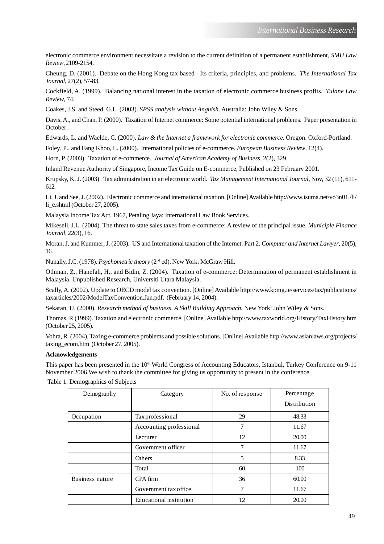electronic commerce environment necessitate a revision to the current definition of a permanent establishment, *SMU Law Review*, 2109-2154.

Cheung, D. (2001). Debate on the Hong Kong tax based - Its criteria, principles, and problems. *The International Tax Journal*, 27(2), 57-83.

Cockfield, A. (1999). Balancing national interest in the taxation of electronic commerce business profits. *Tulane Law Review*, 74.

Coakes, J.S. and Steed, G.L. (2003). *SPSS analysis without Anguish*. Australia: John Wiley & Sons.

Davis, A., and Chan, P. (2000). Taxation of Internet commerce: Some potential international problems. Paper presentation in October.

Edwards, L. and Waelde, C. (2000). *Law & the Internet a framework for electronic commerce*. Oregon: Oxford-Portland.

Foley, P., and Fang Khoo, L. (2000). International policies of e-commerce. *European Business Review*, 12(4).

Horn, P. (2003). Taxation of e-commerce. *Journal of American Academy of Business*, 2(2), 329.

Inland Revenue Authority of Singapore, Income Tax Guide on E-commerce, Published on 23 February 2001.

Krupsky, K. J. (2003). Tax administration in an electronic world. *Tax Management International Journal*, Nov, 32 (11), 611- 612.

Li, J. and See, J. (2002). Electronic commerce and international taxation. [Online] Available http://www.isuma.net/vo3n01./li/ li e.shtml (October 27, 2005).

Malaysia Income Tax Act, 1967, Petaling Jaya: International Law Book Services.

Mikesell, J.L. (2004). The threat to state sales taxes from e-commerce: A review of the principal issue. *Municiple Finance Journal*, 22(3), 16.

Moran, J. and Kummer, J. (2003). US and International taxation of the Internet: Part 2. *Computer and Internet Lawyer*, 20(5), 16.

Nunally, J.C. (1978). *Psychometric theory* (2nd ed). New York: McGraw Hill.

Othman, Z., Hanefah, H., and Bidin, Z. (2004). Taxation of e-commerce: Determination of permanent establishment in Malaysia. Unpublished Research, Universiti Utara Malaysia.

Scally, A. (2002). Update to OECD model tax convention. [Online] Available http://www.kpmg.ie/services/tax/publications/ taxarticles/2002/ModelTaxConvention.Jan.pdf. (February 14, 2004).

Sekaran, U. (2000). *Research method of business. A Skill Building Approach.* New York: John Wiley & Sons.

Thomas, R (1999). Taxation and electronic commerce. [Online] Available http://www.taxworld.org/History/TaxHistory.htm (October 25, 2005).

Vohra, R. (2004). Taxing e-commerce problems and possible solutions. [Online] Available http://www.asianlaws.org/projects/ taxing ecom.htm (October 27, 2005).

### **Acknowledgements**

This paper has been presented in the  $10<sup>th</sup>$  World Congress of Accounting Educators, Istanbul, Turkey Conference on 9-11 November 2006.We wish to thank the committee for giving us opportunity to present in the conference.

Table 1. Demographics of Subjects

| Demography      | Category                | No. of response | Percentage          |
|-----------------|-------------------------|-----------------|---------------------|
|                 |                         |                 | <b>Distribution</b> |
| Occupation      | Tax professional        | 29              | 48.33               |
|                 | Accounting professional | 7               | 11.67               |
|                 | Lecturer                | 12              | 20.00               |
|                 | Government officer      | 7               | 11.67               |
|                 | <b>Others</b>           | 5               | 8.33                |
|                 | Total                   | 60              | 100                 |
| Business nature | CPA firm                | 36              | 60.00               |
|                 | Government tax office   | 7               | 11.67               |
|                 | Educational institution | 12              | 20.00               |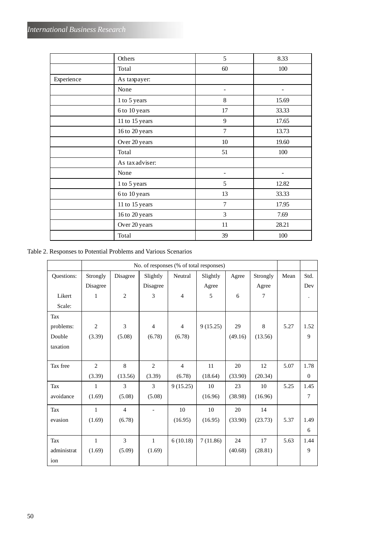|            | Others          | 5              | 8.33  |
|------------|-----------------|----------------|-------|
|            | Total           | 60             | 100   |
| Experience | As taxpayer:    |                |       |
|            | None            |                |       |
|            | 1 to 5 years    | $8\,$          | 15.69 |
|            | 6 to 10 years   | 17             | 33.33 |
|            | 11 to 15 years  | 9              | 17.65 |
|            | 16 to 20 years  | $\tau$         | 13.73 |
|            | Over 20 years   | 10             | 19.60 |
|            | Total           | 51             | 100   |
|            | As tax adviser: |                |       |
|            | None            | -              | -     |
|            | 1 to 5 years    | 5              | 12.82 |
|            | 6 to 10 years   | 13             | 33.33 |
|            | 11 to 15 years  | $\overline{7}$ | 17.95 |
|            | 16 to 20 years  | 3              | 7.69  |
|            | Over 20 years   | 11             | 28.21 |
|            | Total           | 39             | 100   |

Table 2. Responses to Potential Problems and Various Scenarios

|             |                |                |                |                | No. of responses (% of total responses) |         |          |      |          |
|-------------|----------------|----------------|----------------|----------------|-----------------------------------------|---------|----------|------|----------|
| Questions:  | Strongly       | Disagree       | Slightly       | Neutral        | Slightly                                | Agree   | Strongly | Mean | Std.     |
|             | Disagree       |                | Disagree       |                | Agree                                   |         | Agree    |      | Dev      |
| Likert      | 1              | $\overline{2}$ | 3              | $\overline{4}$ | 5                                       | 6       | 7        |      | ٠        |
| Scale:      |                |                |                |                |                                         |         |          |      |          |
| Tax         |                |                |                |                |                                         |         |          |      |          |
| problems:   | $\overline{2}$ | 3              | $\overline{4}$ | $\overline{4}$ | 9(15.25)                                | 29      | 8        | 5.27 | 1.52     |
| Double      | (3.39)         | (5.08)         | (6.78)         | (6.78)         |                                         | (49.16) | (13.56)  |      | 9        |
| taxation    |                |                |                |                |                                         |         |          |      |          |
|             |                |                |                |                |                                         |         |          |      |          |
| Tax free    | $\overline{2}$ | 8              | $\overline{2}$ | $\overline{4}$ | 11                                      | 20      | 12       | 5.07 | 1.78     |
|             | (3.39)         | (13.56)        | (3.39)         | (6.78)         | (18.64)                                 | (33.90) | (20.34)  |      | $\theta$ |
| Tax         | 1              | 3              | 3              | 9(15.25)       | 10                                      | 23      | 10       | 5.25 | 1.45     |
| avoidance   | (1.69)         | (5.08)         | (5.08)         |                | (16.96)                                 | (38.98) | (16.96)  |      | 7        |
| Tax         | 1              | $\overline{4}$ |                | 10             | 10                                      | 20      | 14       |      |          |
| evasion     | (1.69)         | (6.78)         |                | (16.95)        | (16.95)                                 | (33.90) | (23.73)  | 5.37 | 1.49     |
|             |                |                |                |                |                                         |         |          |      | 6        |
| Tax         | 1              | 3              | 1              | 6(10.18)       | 7(11.86)                                | 24      | 17       | 5.63 | 1.44     |
| administrat | (1.69)         | (5.09)         | (1.69)         |                |                                         | (40.68) | (28.81)  |      | 9        |
| ion         |                |                |                |                |                                         |         |          |      |          |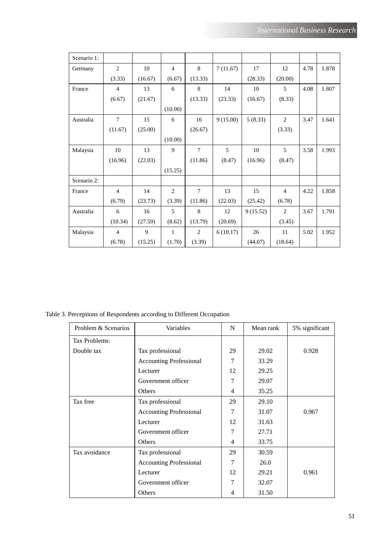| Scenario 1: |                |         |                |                |          |          |                |      |       |
|-------------|----------------|---------|----------------|----------------|----------|----------|----------------|------|-------|
| Germany     | 2              | 10      | $\overline{4}$ | 8              | 7(11.67) | 17       | 12             | 4.78 | 1.878 |
|             | (3.33)         | (16.67) | (6.67)         | (13.33)        |          | (28.33)  | (20.00)        |      |       |
| France      | $\overline{4}$ | 13      | 6              | 8              | 14       | 10       | 5              | 4.08 | 1.807 |
|             | (6.67)         | (21.67) |                | (13.33)        | (23.33)  | (16.67)  | (8.33)         |      |       |
|             |                |         | (10.00)        |                |          |          |                |      |       |
| Australia   | $\overline{7}$ | 15      | 6              | 16             | 9(15.00) | 5(8.33)  | 2              | 3.47 | 1.641 |
|             | (11.67)        | (25.00) |                | (26.67)        |          |          | (3.33)         |      |       |
|             |                |         | (10.00)        |                |          |          |                |      |       |
| Malaysia    | 10             | 13      | 9              | $\overline{7}$ | 5        | 10       | 5              | 3.58 | 1.993 |
|             | (16.96)        | (22.03) |                | (11.86)        | (8.47)   | (16.96)  | (8.47)         |      |       |
|             |                |         | (15.25)        |                |          |          |                |      |       |
| Scenario 2: |                |         |                |                |          |          |                |      |       |
| France      | $\overline{4}$ | 14      | $\overline{2}$ | 7              | 13       | 15       | $\overline{4}$ | 4.22 | 1.858 |
|             | (6.79)         | (23.73) | (3.39)         | (11.86)        | (22.03)  | (25.42)  | (6.78)         |      |       |
| Australia   | 6              | 16      | 5              | 8              | 12       | 9(15.52) | $\overline{2}$ | 3.67 | 1.791 |
|             | (10.34)        | (27.59) | (8.62)         | (13.79)        | (20.69)  |          | (3.45)         |      |       |
| Malaysia    | $\overline{4}$ | 9       | $\mathbf{1}$   | $\overline{2}$ | 6(10.17) | 26       | 11             | 5.02 | 1.952 |
|             | (6.78)         | (15.25) | (1.70)         | (3.39)         |          | (44.07)  | (18.64)        |      |       |

Table 3. Perceptions of Respondents according to Different Occupation

| Problem & Scenarios | Variables                      | N  | Mean rank | 5% significant |
|---------------------|--------------------------------|----|-----------|----------------|
| Tax Problems:       |                                |    |           |                |
| Double tax          | Tax professional               | 29 | 29.02     | 0.928          |
|                     | <b>Accounting Professional</b> | 7  | 33.29     |                |
|                     | Lecturer                       | 12 | 29.25     |                |
|                     | Government officer             | 7  | 29.07     |                |
|                     | Others                         | 4  | 35.25     |                |
| Tax free            | Tax professional               | 29 | 29.10     |                |
|                     | <b>Accounting Professional</b> | 7  | 31.07     | 0.967          |
|                     | Lecturer                       | 12 | 31.63     |                |
|                     | Government officer             | 7  | 27.71     |                |
|                     | Others                         | 4  | 33.75     |                |
| Tax avoidance       | Tax professional               | 29 | 30.59     |                |
|                     | <b>Accounting Professional</b> | 7  | 26.0      |                |
|                     | Lecturer                       | 12 | 29.21     | 0.961          |
|                     | Government officer             | 7  | 32.07     |                |
|                     | Others                         | 4  | 31.50     |                |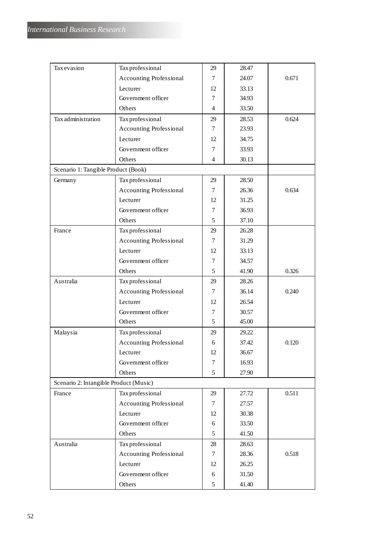| Taxevasion                             | Tax professional               | 29             | 28.47 |       |
|----------------------------------------|--------------------------------|----------------|-------|-------|
|                                        | <b>Accounting Professional</b> | $\tau$         | 24.07 | 0.671 |
|                                        | Lecturer                       | 12             | 33.13 |       |
|                                        | Government officer             | $\overline{7}$ | 34.93 |       |
|                                        | Others                         | 4              | 33.50 |       |
| Tax administration                     | Tax professional               | 29             | 28.53 | 0.624 |
|                                        | <b>Accounting Professional</b> | $\tau$         | 23.93 |       |
|                                        | Lecturer                       | 12             | 34.75 |       |
|                                        | Government officer             | 7              | 33.93 |       |
|                                        | Others                         | 4              | 30.13 |       |
| Scenario 1: Tangible Product (Book)    |                                |                |       |       |
| Germany                                | Tax professional               | 29             | 28.50 |       |
|                                        | <b>Accounting Professional</b> | $\tau$         | 26.36 | 0.634 |
|                                        | Lecturer                       | 12             | 31.25 |       |
|                                        | Government officer             | 7              | 36.93 |       |
|                                        | Others                         | 5              | 37.10 |       |
| France                                 | Tax professional               | 29             | 26.28 |       |
|                                        | <b>Accounting Professional</b> | 7              | 31.29 |       |
|                                        | Lecturer                       | 12             | 33.13 |       |
|                                        | Government officer             | 7              | 34.57 |       |
|                                        | Others                         | 5              | 41.90 | 0.326 |
| Australia                              | Tax professional               | 29             | 28.26 |       |
|                                        | Accounting Professional        | $\tau$         | 36.14 | 0.240 |
|                                        | Lecturer                       | 12             | 26.54 |       |
|                                        | Government officer             | 7              | 30.57 |       |
|                                        | Others                         | 5              | 45.00 |       |
| Malaysia                               | Tax professional               | 29             | 29.22 |       |
|                                        | Accounting Professional        | 6              | 37.42 | 0.120 |
|                                        | Lecturer                       | 12             | 36.67 |       |
|                                        | Government officer             | 7              | 16.93 |       |
|                                        | Others                         | 5              | 27.90 |       |
| Scenario 2: Intangible Product (Music) |                                |                |       |       |
| France                                 | Tax professional               | 29             | 27.72 | 0.511 |
|                                        | Accounting Professional        | $\tau$         | 27.57 |       |
|                                        | Lecturer                       | 12             | 30.38 |       |
|                                        | Government officer             | 6              | 33.50 |       |
|                                        | Others                         | 5              | 41.50 |       |
| Australia                              | Tax professional               | 28             | 28.63 |       |
|                                        | Accounting Professional        | 7              | 28.36 | 0.518 |
|                                        | Lecturer                       | 12             | 26.25 |       |
|                                        | Government officer             | 6              | 31.50 |       |
|                                        | Others                         | 5              | 41.40 |       |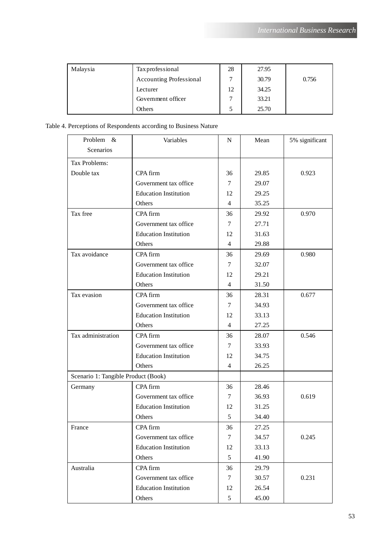| Malaysia | Tax professional               | 28 | 27.95 |       |
|----------|--------------------------------|----|-------|-------|
|          | <b>Accounting Professional</b> | ⇁  | 30.79 | 0.756 |
|          | Lecturer                       | 12 | 34.25 |       |
|          | Government officer             | ⇁  | 33.21 |       |
|          | Others                         |    | 25.70 |       |

# Table 4. Perceptions of Respondents according to Business Nature

| Problem &                           | Variables                    | $\mathbf N$    | Mean  | 5% significant |
|-------------------------------------|------------------------------|----------------|-------|----------------|
| Scenarios                           |                              |                |       |                |
| Tax Problems:                       |                              |                |       |                |
| Double tax                          | CPA firm                     | 36             | 29.85 | 0.923          |
|                                     | Government tax office        | $\tau$         | 29.07 |                |
|                                     | <b>Education Institution</b> | 12             | 29.25 |                |
|                                     | Others                       | $\overline{4}$ | 35.25 |                |
| Tax free                            | CPA firm                     | 36             | 29.92 | 0.970          |
|                                     | Government tax office        | 7              | 27.71 |                |
|                                     | <b>Education Institution</b> | 12             | 31.63 |                |
|                                     | Others                       | $\overline{4}$ | 29.88 |                |
| Tax avoidance                       | CPA firm                     | 36             | 29.69 | 0.980          |
|                                     | Government tax office        | $\tau$         | 32.07 |                |
|                                     | <b>Education Institution</b> | 12             | 29.21 |                |
|                                     | Others                       | $\overline{4}$ | 31.50 |                |
| Tax evasion                         | CPA firm                     | 36             | 28.31 | 0.677          |
|                                     | Government tax office        | 7              | 34.93 |                |
|                                     | <b>Education Institution</b> | 12             | 33.13 |                |
|                                     | Others                       | 4              | 27.25 |                |
| Tax administration                  | CPA firm                     | 36             | 28.07 | 0.546          |
|                                     | Government tax office        | 7              | 33.93 |                |
|                                     | <b>Education Institution</b> | 12             | 34.75 |                |
|                                     | Others                       | 4              | 26.25 |                |
| Scenario 1: Tangible Product (Book) |                              |                |       |                |
| Germany                             | CPA firm                     | 36             | 28.46 |                |
|                                     | Government tax office        | $\tau$         | 36.93 | 0.619          |
|                                     | <b>Education Institution</b> | 12             | 31.25 |                |
|                                     | Others                       | 5              | 34.40 |                |
| France                              | CPA firm                     | 36             | 27.25 |                |
|                                     | Government tax office        | 7              | 34.57 | 0.245          |
|                                     | <b>Education Institution</b> | 12             | 33.13 |                |
|                                     | Others                       | 5              | 41.90 |                |
| Australia                           | CPA firm                     | 36             | 29.79 |                |
|                                     | Government tax office        | 7              | 30.57 | 0.231          |
|                                     | <b>Education Institution</b> | 12             | 26.54 |                |
|                                     | Others                       | 5              | 45.00 |                |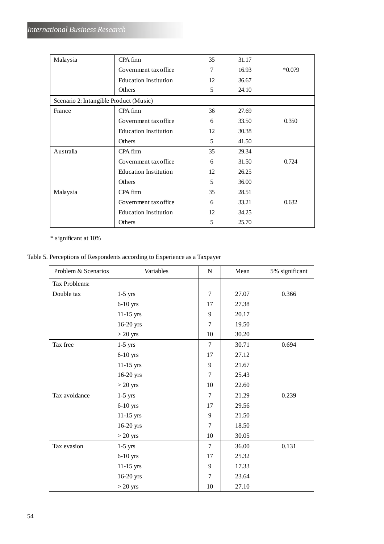| Malaysia                               | CPA firm                     | 35 | 31.17 |          |
|----------------------------------------|------------------------------|----|-------|----------|
|                                        | Government tax office        | 7  | 16.93 | $*0.079$ |
|                                        | <b>Education Institution</b> | 12 | 36.67 |          |
|                                        | Others                       | 5  | 24.10 |          |
| Scenario 2: Intangible Product (Music) |                              |    |       |          |
| France                                 | CPA firm                     | 36 | 27.69 |          |
|                                        | Government tax office        | 6  | 33.50 | 0.350    |
|                                        | <b>Education Institution</b> | 12 | 30.38 |          |
|                                        | Others                       | 5  | 41.50 |          |
| Australia                              | CPA firm                     | 35 | 29.34 |          |
|                                        | Government tax office        | 6  | 31.50 | 0.724    |
|                                        | <b>Education Institution</b> | 12 | 26.25 |          |
|                                        | Others                       | 5  | 36.00 |          |
| Malaysia                               | CPA firm                     | 35 | 28.51 |          |
|                                        | Government tax office        | 6  | 33.21 | 0.632    |
|                                        | <b>Education Institution</b> | 12 | 34.25 |          |
|                                        | Others                       | 5  | 25.70 |          |

\* significant at 10%

Table 5. Perceptions of Respondents according to Experience as a Taxpayer

| Problem & Scenarios | Variables   | $\mathbf N$    | Mean  | 5% significant |
|---------------------|-------------|----------------|-------|----------------|
| Tax Problems:       |             |                |       |                |
| Double tax          | $1-5$ yrs   | $\tau$         | 27.07 | 0.366          |
|                     | $6-10$ yrs  | 17             | 27.38 |                |
|                     | 11-15 yrs   | 9              | 20.17 |                |
|                     | 16-20 yrs   | 7              | 19.50 |                |
|                     | $>$ 20 yrs  | 10             | 30.20 |                |
| Tax free            | $1-5$ yrs   | $\overline{7}$ | 30.71 | 0.694          |
|                     | $6-10$ yrs  | 17             | 27.12 |                |
|                     | 11-15 yrs   | 9              | 21.67 |                |
|                     | 16-20 yrs   | $\tau$         | 25.43 |                |
|                     | $>$ 20 yrs  | 10             | 22.60 |                |
| Tax avoidance       | $1-5$ yrs   | 7              | 21.29 | 0.239          |
|                     | $6-10$ yrs  | 17             | 29.56 |                |
|                     | 11-15 yrs   | 9              | 21.50 |                |
|                     | 16-20 yrs   | $\overline{7}$ | 18.50 |                |
|                     | $>$ 20 yrs  | 10             | 30.05 |                |
| Tax evasion         | $1-5$ yrs   | $\overline{7}$ | 36.00 | 0.131          |
|                     | $6-10$ yrs  | 17             | 25.32 |                |
|                     | $11-15$ yrs | 9              | 17.33 |                |
|                     | 16-20 yrs   | $\tau$         | 23.64 |                |
|                     | $>$ 20 yrs  | 10             | 27.10 |                |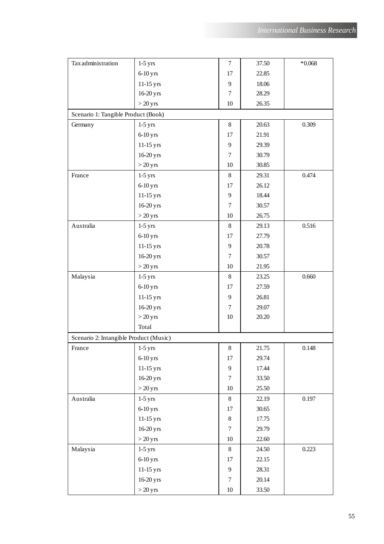| Tax administration                     | $1-5$ yrs  | $\tau$           | 37.50          | $*0.068$ |
|----------------------------------------|------------|------------------|----------------|----------|
|                                        | $6-10$ yrs | 17               | 22.85          |          |
|                                        | 11-15 yrs  | $\mathbf{9}$     | 18.06          |          |
|                                        | 16-20 yrs  | $\tau$           | 28.29          |          |
|                                        | $>20$ yrs  | 10               | 26.35          |          |
| Scenario 1: Tangible Product (Book)    |            |                  |                |          |
| Germany                                | $1-5$ yrs  | 8                | 20.63          | 0.309    |
|                                        | 6-10 yrs   | 17               | 21.91          |          |
|                                        | 11-15 yrs  | 9                | 29.39          |          |
|                                        | 16-20 yrs  | $\boldsymbol{7}$ | 30.79          |          |
|                                        | $>20$ yrs  | $10\,$           | 30.85          |          |
| France                                 | $1-5$ yrs  | $8\,$            | 29.31          | 0.474    |
|                                        | 6-10 yrs   | 17               | 26.12          |          |
|                                        | 11-15 yrs  | 9                | 18.44          |          |
|                                        | 16-20 yrs  | $\boldsymbol{7}$ | 30.57          |          |
|                                        | $>20$ yrs  | $10\,$           | 26.75          |          |
| Australia                              | $1-5$ yrs  | $8\,$            | 29.13          | 0.516    |
|                                        | 6-10 yrs   | 17               | 27.79          |          |
|                                        | 11-15 yrs  | $\mathbf{9}$     | 20.78          |          |
|                                        | 16-20 yrs  | $\tau$           | 30.57          |          |
|                                        |            | $10\,$           |                |          |
|                                        | $>20$ yrs  | $8\,$            | 21.95<br>23.25 | 0.660    |
| Malaysia                               | $1-5$ yrs  | 17               |                |          |
|                                        | $6-10$ yrs | 9                | 27.59          |          |
|                                        | 11-15 yrs  |                  | 26.81          |          |
|                                        | 16-20 yrs  | $\boldsymbol{7}$ | 29.07          |          |
|                                        | $>20$ yrs  | 10               | 20.20          |          |
|                                        | Total      |                  |                |          |
| Scenario 2: Intangible Product (Music) |            |                  |                |          |
| France                                 | $1-5$ yrs  | $8\,$            | 21.75          | 0.148    |
|                                        | $6-10$ yrs | 17               | 29.74          |          |
|                                        | 11-15 yrs  | 9                | 17.44          |          |
|                                        | 16-20 yrs  | $\boldsymbol{7}$ | 33.50          |          |
|                                        | $>20$ yrs  | $10\,$           | 25.50          |          |
| Australia                              | $1-5$ yrs  | 8                | 22.19          | 0.197    |
|                                        | $6-10$ yrs | 17               | 30.65          |          |
|                                        | 11-15 yrs  | $8\,$            | 17.75          |          |
|                                        | 16-20 yrs  | $\boldsymbol{7}$ | 29.79          |          |
|                                        | $>20$ yrs  | $10\,$           | 22.60          |          |
| Malaysia                               | $1-5$ yrs  | 8                | 24.50          | 0.223    |
|                                        | $6-10$ yrs | 17               | 22.15          |          |
|                                        | 11-15 yrs  | 9                | 28.31          |          |
|                                        | 16-20 yrs  | $\overline{7}$   | 20.14          |          |
|                                        | $>20$ yrs  | $10\,$           | 33.50          |          |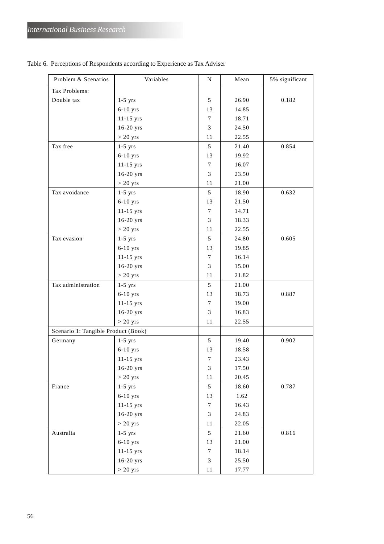| Problem & Scenarios                 | Variables   | N              | Mean  | 5% significant |
|-------------------------------------|-------------|----------------|-------|----------------|
| Tax Problems:                       |             |                |       |                |
| Double tax                          | $1-5$ yrs   | 5              | 26.90 | 0.182          |
|                                     | $6-10$ yrs  | 13             | 14.85 |                |
|                                     | 11-15 yrs   | 7              | 18.71 |                |
|                                     | 16-20 yrs   | 3              | 24.50 |                |
|                                     | $> 20$ yrs  | $11\,$         | 22.55 |                |
| Tax free                            | $1-5$ yrs   | 5              | 21.40 | 0.854          |
|                                     | $6-10$ yrs  | 13             | 19.92 |                |
|                                     | 11-15 yrs   | $\tau$         | 16.07 |                |
|                                     | 16-20 yrs   | 3              | 23.50 |                |
|                                     | $> 20$ yrs  | $11\,$         | 21.00 |                |
| Tax avoidance                       | $1-5$ yrs   | 5              | 18.90 | 0.632          |
|                                     | $6-10$ yrs  | 13             | 21.50 |                |
|                                     | $11-15$ yrs | 7              | 14.71 |                |
|                                     | 16-20 yrs   | 3              | 18.33 |                |
|                                     | $> 20$ yrs  | $11\,$         | 22.55 |                |
| Tax evasion                         | $1-5$ yrs   | 5              | 24.80 | 0.605          |
|                                     | $6-10$ yrs  | 13             | 19.85 |                |
|                                     | $11-15$ yrs | 7              | 16.14 |                |
|                                     | 16-20 yrs   | 3              | 15.00 |                |
|                                     | $> 20$ yrs  | 11             | 21.82 |                |
| Tax administration                  | $1-5$ yrs   | 5              | 21.00 |                |
|                                     | $6-10$ yrs  | 13             | 18.73 | 0.887          |
|                                     | $11-15$ yrs | 7              | 19.00 |                |
|                                     | 16-20 yrs   | 3              | 16.83 |                |
|                                     | $> 20$ yrs  | 11             | 22.55 |                |
| Scenario 1: Tangible Product (Book) |             |                |       |                |
| Germany                             | $1-5$ yrs   | 5              | 19.40 | 0.902          |
|                                     | $6-10$ yrs  | 13             | 18.58 |                |
|                                     | $11-15$ yrs | $\tau$         | 23.43 |                |
|                                     | 16-20 yrs   | $\mathfrak{Z}$ | 17.50 |                |
|                                     | $> 20$ yrs  | $11\,$         | 20.45 |                |
| France                              | $1-5$ yrs   | 5              | 18.60 | 0.787          |
|                                     | $6-10$ yrs  | 13             | 1.62  |                |
|                                     | $11-15$ yrs | $\tau$         | 16.43 |                |
|                                     | 16-20 yrs   | $\mathfrak{Z}$ | 24.83 |                |
|                                     | $> 20$ yrs  | $11\,$         | 22.05 |                |
| Australia                           | $1-5$ yrs   | $\sqrt{5}$     | 21.60 | 0.816          |
|                                     | $6-10$ yrs  | 13             | 21.00 |                |
|                                     | $11-15$ yrs | $\tau$         | 18.14 |                |
|                                     | 16-20 yrs   | $\mathfrak{Z}$ | 25.50 |                |
|                                     | $> 20$ yrs  | $11\,$         | 17.77 |                |

# Table 6. Perceptions of Respondents according to Experience as Tax Adviser